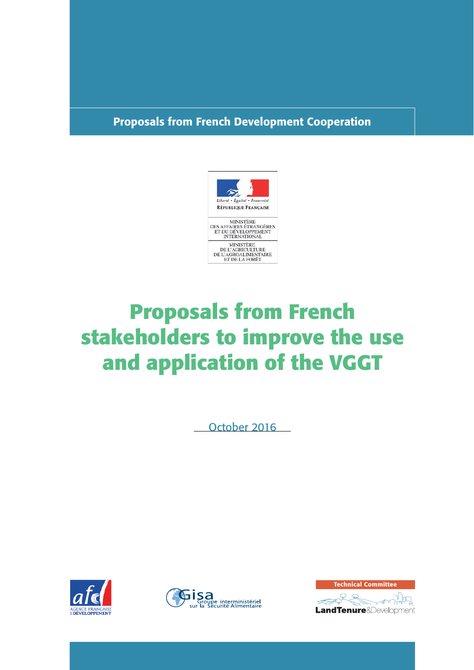# **Proposals from French Development Cooperation**



# **Proposals from French stakeholders to improve the use and application of the VGGT**

October 2016





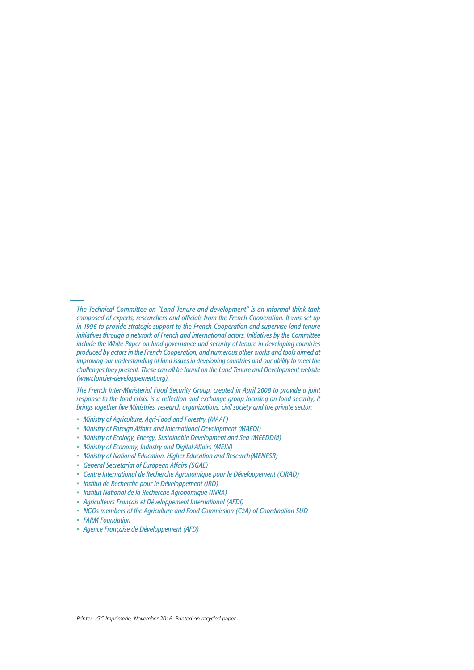*The Technical Committee on "Land Tenure and development" is an informal think tank composed of experts, researchers and officials from the French Cooperation. It was set up in 1996 to provide strategic support to the French Cooperation and supervise land tenure initiatives through a network of French and international actors. Initiatives by the Committee include the White Paper on land governance and security of tenure in developing countries produced by actors in the French Cooperation, and numerous other works and tools aimed at improving our understanding of land issues in developing countries and our ability to meet the challenges they present. These can all be found on the Land Tenure and Development website (www.foncier-developpement.org).*

*The French Inter-Ministerial Food Security Group, created in April 2008 to provide a joint*  response to the food crisis, is a reflection and exchange group focusing on food security; it *brings together five Ministries, research organizations, civil society and the private sector:* 

- *Ministry of Agriculture, Agri-Food and Forestry (MAAF)*
- *Ministry of Foreign Affairs and International Development (MAEDI)*
- *Ministry of Ecology, Energy, Sustainable Development and Sea (MEEDDM)*
- *Ministry of Economy, Industry and Digital Affairs (MEIN)*
- *Ministry of National Education, Higher Education and Research(MENESR)*
- *General Secretariat of European Affairs (SGAE)*
- *Centre International de Recherche Agronomique pour le Développement (CIRAD)*
- *Institut de Recherche pour le Développement (IRD)*
- *Institut National de la Recherche Agronomique (INRA)*
- *Agriculteurs Français et Développement International (AFDI)*
- *NGOs members of the Agriculture and Food Commission (C2A) of Coordination SUD*
- *FARM Foundation*
- *Agence Française de Développement (AFD)*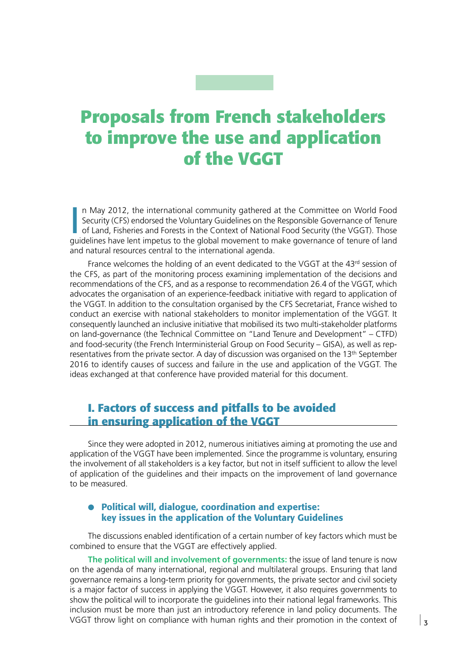# **Proposals from French stakeholders to improve the use and application of the VGGT**

In May 2012, the international community gathered at the Committee on World Food Security (CFS) endorsed the Voluntary Guidelines on the Responsible Governance of Tenure of Land, Fisheries and Forests in the Context of Nat n May 2012, the international community gathered at the Committee on World Food Security (CFS) endorsed the Voluntary Guidelines on the Responsible Governance of Tenure of Land, Fisheries and Forests in the Context of National Food Security (the VGGT). Those and natural resources central to the international agenda.

France welcomes the holding of an event dedicated to the VGGT at the  $43<sup>rd</sup>$  session of the CFS, as part of the monitoring process examining implementation of the decisions and recommendations of the CFS, and as a response to recommendation 26.4 of the VGGT, which advocates the organisation of an experience-feedback initiative with regard to application of the VGGT. In addition to the consultation organised by the CFS Secretariat, France wished to conduct an exercise with national stakeholders to monitor implementation of the VGGT. It consequently launched an inclusive initiative that mobilised its two multi-stakeholder platforms on land-governance (the Technical Committee on "Land Tenure and Development" – CTFD) and food-security (the French Interministerial Group on Food Security – GISA), as well as representatives from the private sector. A day of discussion was organised on the 13<sup>th</sup> September 2016 to identify causes of success and failure in the use and application of the VGGT. The ideas exchanged at that conference have provided material for this document.

# **I. Factors of success and pitfalls to be avoided in ensuring application of the VGGT**

Since they were adopted in 2012, numerous initiatives aiming at promoting the use and application of the VGGT have been implemented. Since the programme is voluntary, ensuring the involvement of all stakeholders is a key factor, but not in itself sufficient to allow the level of application of the guidelines and their impacts on the improvement of land governance to be measured.

#### ● **Political will, dialogue, coordination and expertise: key issues in the application of the Voluntary Guidelines**

The discussions enabled identification of a certain number of key factors which must be combined to ensure that the VGGT are effectively applied.

**The political will and involvement of governments:** the issue of land tenure is now on the agenda of many international, regional and multilateral groups. Ensuring that land governance remains a long-term priority for governments, the private sector and civil society is a major factor of success in applying the VGGT. However, it also requires governments to show the political will to incorporate the guidelines into their national legal frameworks. This inclusion must be more than just an introductory reference in land policy documents. The VGGT throw light on compliance with human rights and their promotion in the context of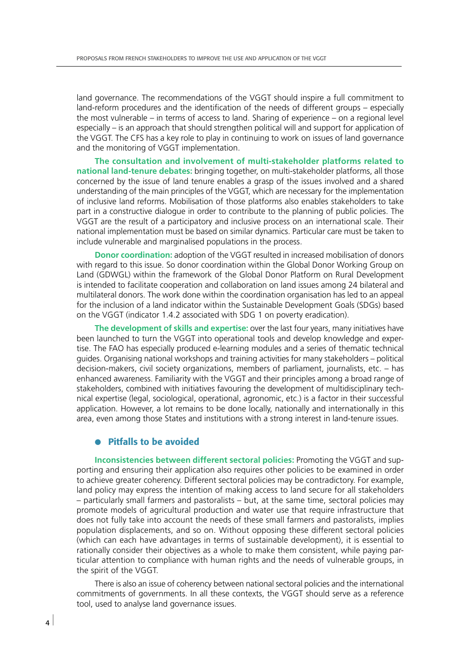land governance. The recommendations of the VGGT should inspire a full commitment to land-reform procedures and the identification of the needs of different groups – especially the most vulnerable – in terms of access to land. Sharing of experience – on a regional level especially – is an approach that should strengthen political will and support for application of the VGGT. The CFS has a key role to play in continuing to work on issues of land governance and the monitoring of VGGT implementation.

**The consultation and involvement of multi-stakeholder platforms related to national land-tenure debates:** bringing together, on multi-stakeholder platforms, all those concerned by the issue of land tenure enables a grasp of the issues involved and a shared understanding of the main principles of the VGGT, which are necessary for the implementation of inclusive land reforms. Mobilisation of those platforms also enables stakeholders to take part in a constructive dialogue in order to contribute to the planning of public policies. The VGGT are the result of a participatory and inclusive process on an international scale. Their national implementation must be based on similar dynamics. Particular care must be taken to include vulnerable and marginalised populations in the process.

**Donor coordination:** adoption of the VGGT resulted in increased mobilisation of donors with regard to this issue. So donor coordination within the Global Donor Working Group on Land (GDWGL) within the framework of the Global Donor Platform on Rural Development is intended to facilitate cooperation and collaboration on land issues among 24 bilateral and multilateral donors. The work done within the coordination organisation has led to an appeal for the inclusion of a land indicator within the Sustainable Development Goals (SDGs) based on the VGGT (indicator 1.4.2 associated with SDG 1 on poverty eradication).

**The development of skills and expertise:** over the last four years, many initiatives have been launched to turn the VGGT into operational tools and develop knowledge and expertise. The FAO has especially produced e-learning modules and a series of thematic technical guides. Organising national workshops and training activities for many stakeholders – political decision-makers, civil society organizations, members of parliament, journalists, etc. – has enhanced awareness. Familiarity with the VGGT and their principles among a broad range of stakeholders, combined with initiatives favouring the development of multidisciplinary technical expertise (legal, sociological, operational, agronomic, etc.) is a factor in their successful application. However, a lot remains to be done locally, nationally and internationally in this area, even among those States and institutions with a strong interest in land-tenure issues.

#### ● **Pitfalls to be avoided**

**Inconsistencies between different sectoral policies:** Promoting the VGGT and supporting and ensuring their application also requires other policies to be examined in order to achieve greater coherency. Different sectoral policies may be contradictory. For example, land policy may express the intention of making access to land secure for all stakeholders – particularly small farmers and pastoralists – but, at the same time, sectoral policies may promote models of agricultural production and water use that require infrastructure that does not fully take into account the needs of these small farmers and pastoralists, implies population displacements, and so on. Without opposing these different sectoral policies (which can each have advantages in terms of sustainable development), it is essential to rationally consider their objectives as a whole to make them consistent, while paying particular attention to compliance with human rights and the needs of vulnerable groups, in the spirit of the VGGT.

There is also an issue of coherency between national sectoral policies and the international commitments of governments. In all these contexts, the VGGT should serve as a reference tool, used to analyse land governance issues.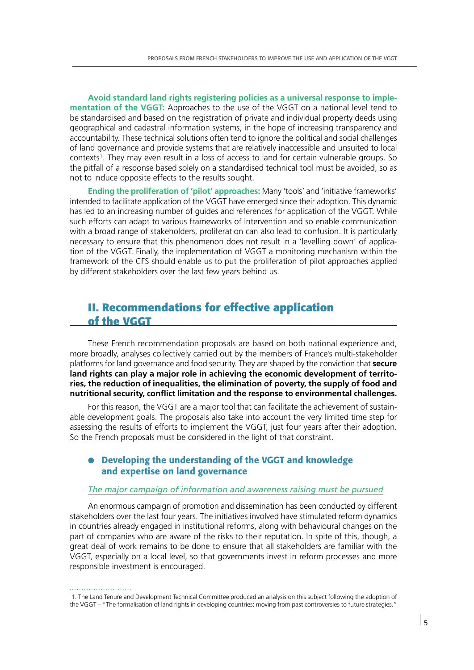**Avoid standard land rights registering policies as a universal response to implementation of the VGGT:** Approaches to the use of the VGGT on a national level tend to be standardised and based on the registration of private and individual property deeds using geographical and cadastral information systems, in the hope of increasing transparency and accountability. These technical solutions often tend to ignore the political and social challenges of land governance and provide systems that are relatively inaccessible and unsuited to local contexts1. They may even result in a loss of access to land for certain vulnerable groups. So the pitfall of a response based solely on a standardised technical tool must be avoided, so as not to induce opposite effects to the results sought.

**Ending the proliferation of 'pilot' approaches:** Many 'tools' and 'initiative frameworks' intended to facilitate application of the VGGT have emerged since their adoption. This dynamic has led to an increasing number of guides and references for application of the VGGT. While such efforts can adapt to various frameworks of intervention and so enable communication with a broad range of stakeholders, proliferation can also lead to confusion. It is particularly necessary to ensure that this phenomenon does not result in a 'levelling down' of application of the VGGT. Finally, the implementation of VGGT a monitoring mechanism within the framework of the CFS should enable us to put the proliferation of pilot approaches applied by different stakeholders over the last few years behind us.

## **II. Recommendations for effective application of the VGGT**

These French recommendation proposals are based on both national experience and, more broadly, analyses collectively carried out by the members of France's multi-stakeholder platforms for land governance and food security. They are shaped by the conviction that **secure land rights can play a major role in achieving the economic development of territories, the reduction of inequalities, the elimination of poverty, the supply of food and**  nutritional security, conflict limitation and the response to environmental challenges.

For this reason, the VGGT are a major tool that can facilitate the achievement of sustainable development goals. The proposals also take into account the very limited time step for assessing the results of efforts to implement the VGGT, just four years after their adoption. So the French proposals must be considered in the light of that constraint.

#### ● **Developing the understanding of the VGGT and knowledge and expertise on land governance**

#### *The major campaign of information and awareness raising must be pursued*

An enormous campaign of promotion and dissemination has been conducted by different stakeholders over the last four years. The initiatives involved have stimulated reform dynamics in countries already engaged in institutional reforms, along with behavioural changes on the part of companies who are aware of the risks to their reputation. In spite of this, though, a great deal of work remains to be done to ensure that all stakeholders are familiar with the VGGT, especially on a local level, so that governments invest in reform processes and more responsible investment is encouraged.

 <sup>1.</sup> The Land Tenure and Development Technical Committee produced an analysis on this subject following the adoption of the VGGT – "The formalisation of land rights in developing countries: moving from past controversies to future strategies."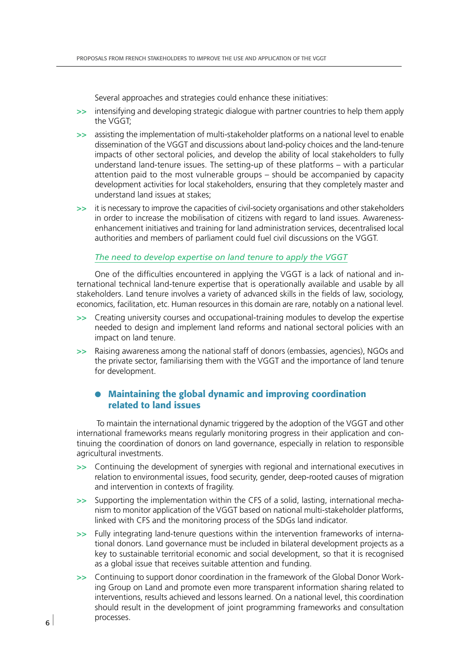Several approaches and strategies could enhance these initiatives:

- **>>** intensifying and developing strategic dialogue with partner countries to help them apply the VGGT;
- **>>** assisting the implementation of multi-stakeholder platforms on a national level to enable dissemination of the VGGT and discussions about land-policy choices and the land-tenure impacts of other sectoral policies, and develop the ability of local stakeholders to fully understand land-tenure issues. The setting-up of these platforms – with a particular attention paid to the most vulnerable groups – should be accompanied by capacity development activities for local stakeholders, ensuring that they completely master and understand land issues at stakes;
- **>>** it is necessary to improve the capacities of civil-society organisations and other stakeholders in order to increase the mobilisation of citizens with regard to land issues. Awarenessenhancement initiatives and training for land administration services, decentralised local authorities and members of parliament could fuel civil discussions on the VGGT.

#### *The need to develop expertise on land tenure to apply the VGGT*

One of the difficulties encountered in applying the VGGT is a lack of national and international technical land-tenure expertise that is operationally available and usable by all stakeholders. Land tenure involves a variety of advanced skills in the fields of law, sociology, economics, facilitation, etc. Human resources in this domain are rare, notably on a national level.

- **>>** Creating university courses and occupational-training modules to develop the expertise needed to design and implement land reforms and national sectoral policies with an impact on land tenure.
- **>>** Raising awareness among the national staff of donors (embassies, agencies), NGOs and the private sector, familiarising them with the VGGT and the importance of land tenure for development.

#### ● **Maintaining the global dynamic and improving coordination related to land issues**

 To maintain the international dynamic triggered by the adoption of the VGGT and other international frameworks means regularly monitoring progress in their application and continuing the coordination of donors on land governance, especially in relation to responsible agricultural investments.

- **>>** Continuing the development of synergies with regional and international executives in relation to environmental issues, food security, gender, deep-rooted causes of migration and intervention in contexts of fragility.
- **>>** Supporting the implementation within the CFS of a solid, lasting, international mechanism to monitor application of the VGGT based on national multi-stakeholder platforms, linked with CFS and the monitoring process of the SDGs land indicator.
- **>>** Fully integrating land-tenure questions within the intervention frameworks of international donors. Land governance must be included in bilateral development projects as a key to sustainable territorial economic and social development, so that it is recognised as a global issue that receives suitable attention and funding.
- **>>** Continuing to support donor coordination in the framework of the Global Donor Working Group on Land and promote even more transparent information sharing related to interventions, results achieved and lessons learned. On a national level, this coordination should result in the development of joint programming frameworks and consultation processes.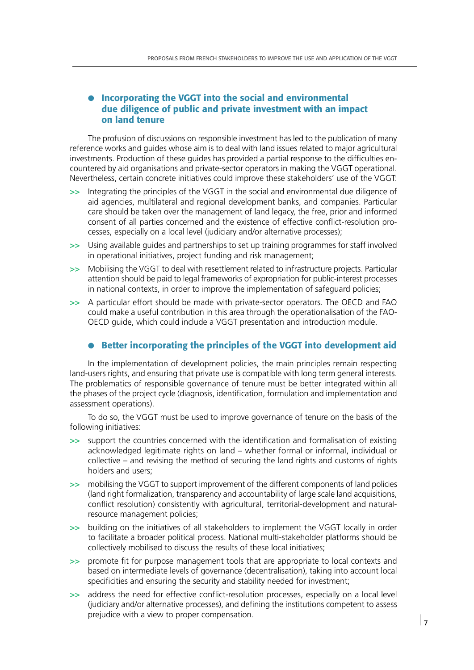#### ● **Incorporating the VGGT into the social and environmental due diligence of public and private investment with an impact on land tenure**

The profusion of discussions on responsible investment has led to the publication of many reference works and guides whose aim is to deal with land issues related to major agricultural investments. Production of these guides has provided a partial response to the difficulties encountered by aid organisations and private-sector operators in making the VGGT operational. Nevertheless, certain concrete initiatives could improve these stakeholders' use of the VGGT:

- **>>** Integrating the principles of the VGGT in the social and environmental due diligence of aid agencies, multilateral and regional development banks, and companies. Particular care should be taken over the management of land legacy, the free, prior and informed consent of all parties concerned and the existence of effective conflict-resolution processes, especially on a local level (judiciary and/or alternative processes);
- **>>** Using available guides and partnerships to set up training programmes for staff involved in operational initiatives, project funding and risk management;
- **>>** Mobilising the VGGT to deal with resettlement related to infrastructure projects. Particular attention should be paid to legal frameworks of expropriation for public-interest processes in national contexts, in order to improve the implementation of safeguard policies;
- **>>** A particular effort should be made with private-sector operators. The OECD and FAO could make a useful contribution in this area through the operationalisation of the FAO-OECD guide, which could include a VGGT presentation and introduction module.

#### ● **Better incorporating the principles of the VGGT into development aid**

In the implementation of development policies, the main principles remain respecting land-users rights, and ensuring that private use is compatible with long term general interests. The problematics of responsible governance of tenure must be better integrated within all the phases of the project cycle (diagnosis, identification, formulation and implementation and assessment operations).

To do so, the VGGT must be used to improve governance of tenure on the basis of the following initiatives:

- $\gg$  support the countries concerned with the identification and formalisation of existing acknowledged legitimate rights on land – whether formal or informal, individual or collective – and revising the method of securing the land rights and customs of rights holders and users;
- **>>** mobilising the VGGT to support improvement of the different components of land policies (land right formalization, transparency and accountability of large scale land acquisitions, conflict resolution) consistently with agricultural, territorial-development and naturalresource management policies;
- **>>** building on the initiatives of all stakeholders to implement the VGGT locally in order to facilitate a broader political process. National multi-stakeholder platforms should be collectively mobilised to discuss the results of these local initiatives;
- >> promote fit for purpose management tools that are appropriate to local contexts and based on intermediate levels of governance (decentralisation), taking into account local specificities and ensuring the security and stability needed for investment;
- >> address the need for effective conflict-resolution processes, especially on a local level (judiciary and/or alternative processes), and defining the institutions competent to assess prejudice with a view to proper compensation.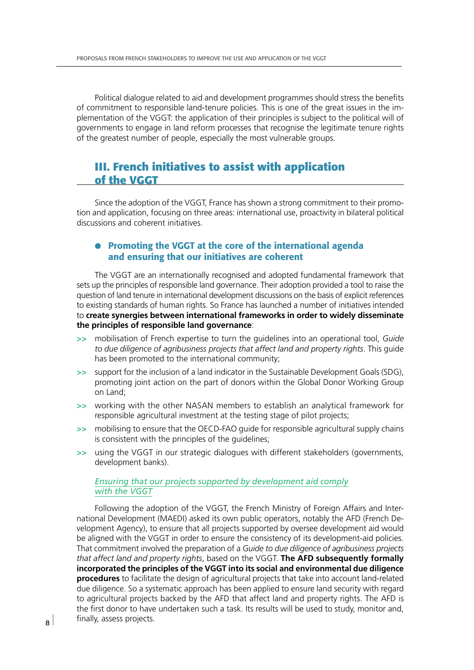Political dialogue related to aid and development programmes should stress the benefits of commitment to responsible land-tenure policies. This is one of the great issues in the implementation of the VGGT: the application of their principles is subject to the political will of governments to engage in land reform processes that recognise the legitimate tenure rights of the greatest number of people, especially the most vulnerable groups.

## **III. French initiatives to assist with application of the VGGT**

Since the adoption of the VGGT, France has shown a strong commitment to their promotion and application, focusing on three areas: international use, proactivity in bilateral political discussions and coherent initiatives.

#### ● **Promoting the VGGT at the core of the international agenda and ensuring that our initiatives are coherent**

The VGGT are an internationally recognised and adopted fundamental framework that sets up the principles of responsible land governance. Their adoption provided a tool to raise the question of land tenure in international development discussions on the basis of explicit references to existing standards of human rights. So France has launched a number of initiatives intended to **create synergies between international frameworks in order to widely disseminate the principles of responsible land governance**:

- **>>** mobilisation of French expertise to turn the guidelines into an operational tool, *Guide*  to due diligence of agribusiness projects that affect land and property rights. This guide has been promoted to the international community;
- **>>** support for the inclusion of a land indicator in the Sustainable Development Goals (SDG), promoting joint action on the part of donors within the Global Donor Working Group on Land;
- **>>** working with the other NASAN members to establish an analytical framework for responsible agricultural investment at the testing stage of pilot projects;
- **>>** mobilising to ensure that the OECD-FAO guide for responsible agricultural supply chains is consistent with the principles of the guidelines;
- **>>** using the VGGT in our strategic dialogues with different stakeholders (governments, development banks).

#### *Ensuring that our projects supported by development aid comply with the VGGT*

Following the adoption of the VGGT, the French Ministry of Foreign Affairs and International Development (MAEDI) asked its own public operators, notably the AFD (French Development Agency), to ensure that all projects supported by oversee development aid would be aligned with the VGGT in order to ensure the consistency of its development-aid policies. That commitment involved the preparation of a *Guide to due diligence of agribusiness projects that affect land and property rights*, based on the VGGT. **The AFD subsequently formally incorporated the principles of the VGGT into its social and environmental due diligence procedures** to facilitate the design of agricultural projects that take into account land-related due diligence. So a systematic approach has been applied to ensure land security with regard to agricultural projects backed by the AFD that affect land and property rights. The AFD is the first donor to have undertaken such a task. Its results will be used to study, monitor and, finally, assess projects.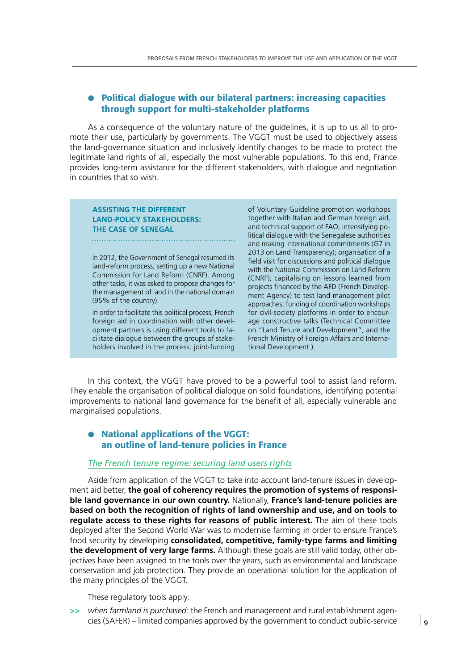#### ● **Political dialogue with our bilateral partners: increasing capacities through support for multi-stakeholder platforms**

As a consequence of the voluntary nature of the guidelines, it is up to us all to promote their use, particularly by governments. The VGGT must be used to objectively assess the land-governance situation and inclusively identify changes to be made to protect the legitimate land rights of all, especially the most vulnerable populations. To this end, France provides long-term assistance for the different stakeholders, with dialogue and negotiation in countries that so wish.

#### **ASSISTING THE DIFFERENT LAND-POLICY STAKEHOLDERS: THE CASE OF SENEGAL**

In 2012, the Government of Senegal resumed its land-reform process, setting up a new National Commission for Land Reform (CNRF). Among other tasks, it was asked to propose changes for the management of land in the national domain (95% of the country).

In order to facilitate this political process, French foreign aid in coordination with other development partners is using different tools to facilitate dialogue between the groups of stakeholders involved in the process: joint-funding of Voluntary Guideline promotion workshops together with Italian and German foreign aid, and technical support of FAO; intensifying political dialogue with the Senegalese authorities and making international commitments (G7 in 2013 on Land Transparency); organisation of a field visit for discussions and political dialogue with the National Commission on Land Reform (CNRF); capitalising on lessons learned from projects financed by the AFD (French Development Agency) to test land-management pilot approaches; funding of coordination workshops for civil-society platforms in order to encourage constructive talks (Technical Committee on "Land Tenure and Development", and the French Ministry of Foreign Affairs and International Development ).

In this context, the VGGT have proved to be a powerful tool to assist land reform. They enable the organisation of political dialogue on solid foundations, identifying potential improvements to national land governance for the benefit of all, especially vulnerable and marginalised populations.

#### ● **National applications of the VGGT: an outline of land-tenure policies in France**

#### *The French tenure regime: securing land users rights*

Aside from application of the VGGT to take into account land-tenure issues in development aid better, **the goal of coherency requires the promotion of systems of responsible land governance in our own country.** Nationally, **France's land-tenure policies are based on both the recognition of rights of land ownership and use, and on tools to regulate access to these rights for reasons of public interest.** The aim of these tools deployed after the Second World War was to modernise farming in order to ensure France's food security by developing **consolidated, competitive, family-type farms and limiting the development of very large farms.** Although these goals are still valid today, other objectives have been assigned to the tools over the years, such as environmental and landscape conservation and job protection. They provide an operational solution for the application of the many principles of the VGGT.

These regulatory tools apply:

**>>** *when farmland is purchased:* the French and management and rural establishment agencies (SAFER) – limited companies approved by the government to conduct public-service